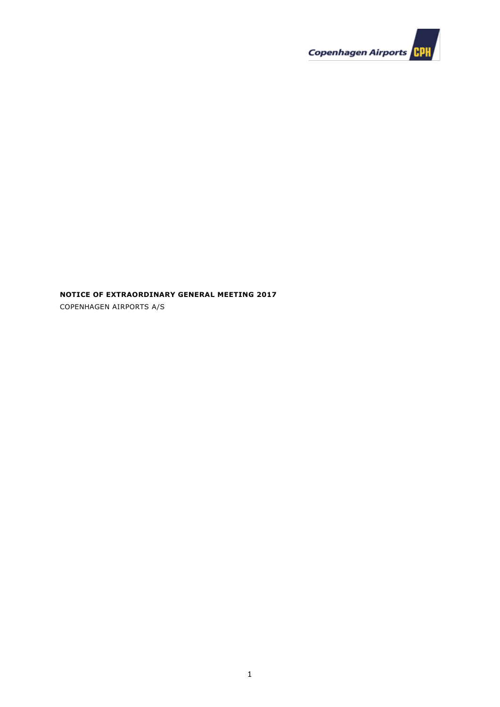

**NOTICE OF EXTRAORDINARY GENERAL MEETING 2017**

COPENHAGEN AIRPORTS A/S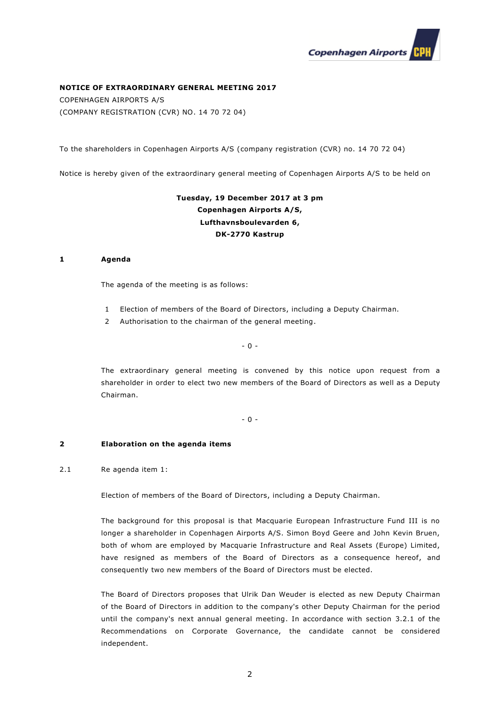

# **NOTICE OF EXTRAORDINARY GENERAL MEETING 2017**

COPENHAGEN AIRPORTS A/S (COMPANY REGISTRATION (CVR) NO. 14 70 72 04)

To the shareholders in Copenhagen Airports A/S (company registration (CVR) no. 14 70 72 04)

Notice is hereby given of the extraordinary general meeting of Copenhagen Airports A/S to be held on

# **Tuesday, 19 December 2017 at 3 pm Copenhagen Airports A/S, Lufthavnsboulevarden 6, DK-2770 Kastrup**

## **1 Agenda**

The agenda of the meeting is as follows:

- 1 Election of members of the Board of Directors, including a Deputy Chairman.
- 2 Authorisation to the chairman of the general meeting.

- 0 -

The extraordinary general meeting is convened by this notice upon request from a shareholder in order to elect two new members of the Board of Directors as well as a Deputy Chairman.

- 0 -

#### **2 Elaboration on the agenda items**

# 2.1 Re agenda item 1:

Election of members of the Board of Directors, including a Deputy Chairman.

The background for this proposal is that Macquarie European Infrastructure Fund III is no longer a shareholder in Copenhagen Airports A/S. Simon Boyd Geere and John Kevin Bruen, both of whom are employed by Macquarie Infrastructure and Real Assets (Europe) Limited, have resigned as members of the Board of Directors as a consequence hereof, and consequently two new members of the Board of Directors must be elected.

The Board of Directors proposes that Ulrik Dan Weuder is elected as new Deputy Chairman of the Board of Directors in addition to the company's other Deputy Chairman for the period until the company's next annual general meeting. In accordance with section 3.2.1 of the Recommendations on Corporate Governance, the candidate cannot be considered independent.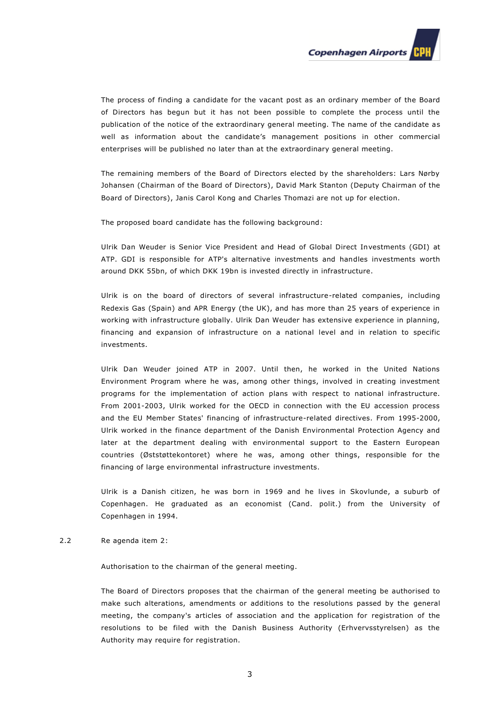

The process of finding a candidate for the vacant post as an ordinary member of the Board of Directors has begun but it has not been possible to complete the process until the publication of the notice of the extraordinary general meeting. The name of the candidate as well as information about the candidate's management positions in other commercial enterprises will be published no later than at the extraordinary general meeting.

The remaining members of the Board of Directors elected by the shareholders: Lars Nørby Johansen (Chairman of the Board of Directors), David Mark Stanton (Deputy Chairman of the Board of Directors), Janis Carol Kong and Charles Thomazi are not up for election.

The proposed board candidate has the following background:

Ulrik Dan Weuder is Senior Vice President and Head of Global Direct Investments (GDI) at ATP. GDI is responsible for ATP's alternative investments and handles investments worth around DKK 55bn, of which DKK 19bn is invested directly in infrastructure.

Ulrik is on the board of directors of several infrastructure-related companies, including Redexis Gas (Spain) and APR Energy (the UK), and has more than 25 years of experience in working with infrastructure globally. Ulrik Dan Weuder has extensive experience in planning, financing and expansion of infrastructure on a national level and in relation to specific investments.

Ulrik Dan Weuder joined ATP in 2007. Until then, he worked in the United Nations Environment Program where he was, among other things, involved in creating investment programs for the implementation of action plans with respect to national infrastructure. From 2001-2003, Ulrik worked for the OECD in connection with the EU accession process and the EU Member States' financing of infrastructure-related directives. From 1995-2000, Ulrik worked in the finance department of the Danish Environmental Protection Agency and later at the department dealing with environmental support to the Eastern European countries (Øststøttekontoret) where he was, among other things, responsible for the financing of large environmental infrastructure investments.

Ulrik is a Danish citizen, he was born in 1969 and he lives in Skovlunde, a suburb of Copenhagen. He graduated as an economist (Cand. polit.) from the University of Copenhagen in 1994.

# 2.2 Re agenda item 2:

Authorisation to the chairman of the general meeting.

The Board of Directors proposes that the chairman of the general meeting be authorised to make such alterations, amendments or additions to the resolutions passed by the general meeting, the company's articles of association and the application for registration of the resolutions to be filed with the Danish Business Authority (Erhvervsstyrelsen) as the Authority may require for registration.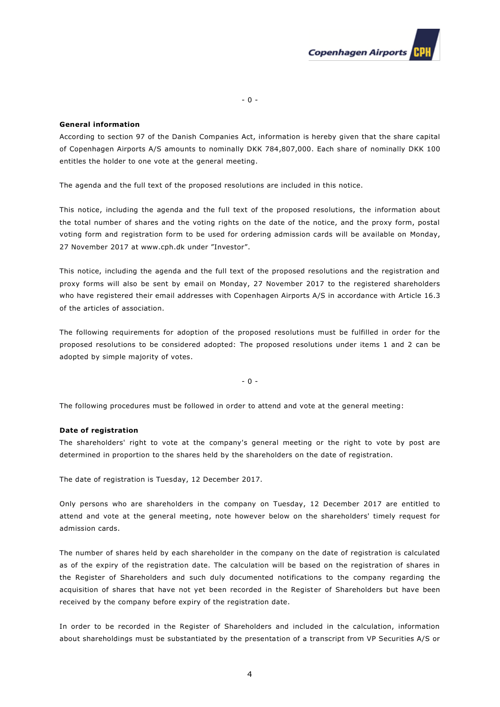

## **General information**

According to section 97 of the Danish Companies Act, information is hereby given that the share capital of Copenhagen Airports A/S amounts to nominally DKK 784,807,000. Each share of nominally DKK 100 entitles the holder to one vote at the general meeting.

The agenda and the full text of the proposed resolutions are included in this notice.

This notice, including the agenda and the full text of the proposed resolutions, the information about the total number of shares and the voting rights on the date of the notice, and the proxy form, postal voting form and registration form to be used for ordering admission cards will be available on Monday, 27 November 2017 at www.cph.dk under "Investor".

This notice, including the agenda and the full text of the proposed resolutions and the registration and proxy forms will also be sent by email on Monday, 27 November 2017 to the registered shareholders who have registered their email addresses with Copenhagen Airports A/S in accordance with Article 16.3 of the articles of association.

The following requirements for adoption of the proposed resolutions must be fulfilled in order for the proposed resolutions to be considered adopted: The proposed resolutions under items 1 and 2 can be adopted by simple majority of votes.

- 0 -

The following procedures must be followed in order to attend and vote at the general meeting:

## **Date of registration**

The shareholders' right to vote at the company's general meeting or the right to vote by post are determined in proportion to the shares held by the shareholders on the date of registration.

The date of registration is Tuesday, 12 December 2017.

Only persons who are shareholders in the company on Tuesday, 12 December 2017 are entitled to attend and vote at the general meeting, note however below on the shareholders' timely request for admission cards.

The number of shares held by each shareholder in the company on the date of registration is calculated as of the expiry of the registration date. The calculation will be based on the registration of shares in the Register of Shareholders and such duly documented notifications to the company regarding the acquisition of shares that have not yet been recorded in the Register of Shareholders but have been received by the company before expiry of the registration date.

In order to be recorded in the Register of Shareholders and included in the calculation, information about shareholdings must be substantiated by the presentation of a transcript from VP Securities A/S or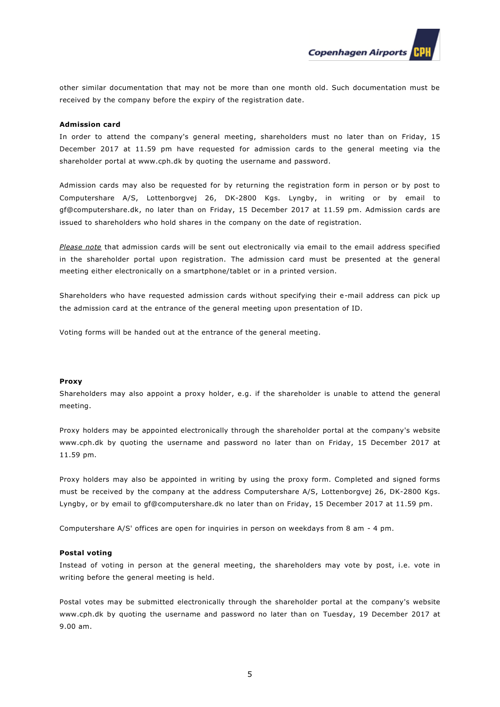**Copenhagen Airports** 

other similar documentation that may not be more than one month old. Such documentation must be received by the company before the expiry of the registration date.

### **Admission card**

In order to attend the company's general meeting, shareholders must no later than on Friday, 15 December 2017 at 11.59 pm have requested for admission cards to the general meeting via the shareholder portal at www.cph.dk by quoting the username and password.

Admission cards may also be requested for by returning the registration form in person or by post to Computershare A/S, Lottenborgvej 26, DK-2800 Kgs. Lyngby, in writing or by email to gf@computershare.dk, no later than on Friday, 15 December 2017 at 11.59 pm. Admission cards are issued to shareholders who hold shares in the company on the date of registration.

*Please note* that admission cards will be sent out electronically via email to the email address specified in the shareholder portal upon registration. The admission card must be presented at the general meeting either electronically on a smartphone/tablet or in a printed version.

Shareholders who have requested admission cards without specifying their e-mail address can pick up the admission card at the entrance of the general meeting upon presentation of ID.

Voting forms will be handed out at the entrance of the general meeting.

#### **Proxy**

Shareholders may also appoint a proxy holder, e.g. if the shareholder is unable to attend the general meeting.

Proxy holders may be appointed electronically through the shareholder portal at the company's website www.cph.dk by quoting the username and password no later than on Friday, 15 December 2017 at 11.59 pm.

Proxy holders may also be appointed in writing by using the proxy form. Completed and signed forms must be received by the company at the address Computershare A/S, Lottenborgvej 26, DK-2800 Kgs. Lyngby, or by email to gf@computershare.dk no later than on Friday, 15 December 2017 at 11.59 pm.

Computershare A/S' offices are open for inquiries in person on weekdays from 8 am - 4 pm.

#### **Postal voting**

Instead of voting in person at the general meeting, the shareholders may vote by post, i.e. vote in writing before the general meeting is held.

Postal votes may be submitted electronically through the shareholder portal at the company's website www.cph.dk by quoting the username and password no later than on Tuesday, 19 December 2017 at 9.00 am.